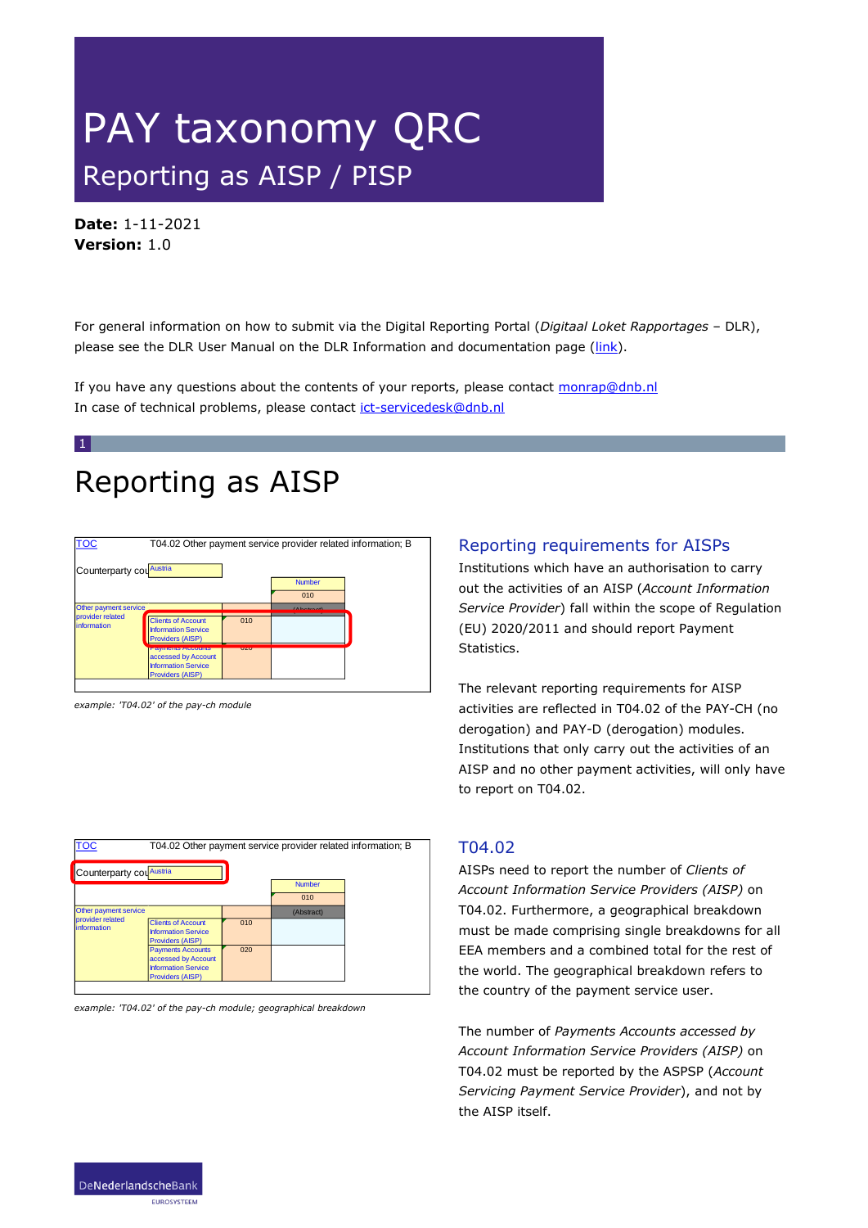# PAY taxonomy QRC Reporting as AISP / PISP

**Date:** 1-11-2021 **Version:** 1.0

For general information on how to submit via the Digital Reporting Portal (*Digitaal Loket Rapportages* – DLR), please see the DLR User Manual on the DLR Information and documentation page ( $\frac{\text{link}}{\text{link}}$ ).

If you have any questions about the contents of your reports, please contact [monrap@dnb.nl](mailto:monrap@dnb.nl) In case of technical problems, please contact [ict-servicedesk@dnb.nl](mailto:ict-servicedesk@dnb.nl)

### Reporting as AISP

| <b>TOC</b>                       | T04.02 Other payment service provider related information; B                                             |            |                           |  |  |  |  |
|----------------------------------|----------------------------------------------------------------------------------------------------------|------------|---------------------------|--|--|--|--|
| Counterparty cou Austria         |                                                                                                          |            | <b>Number</b><br>010      |  |  |  |  |
| Other payment service,           |                                                                                                          |            | $\Delta$ because $\Delta$ |  |  |  |  |
| provider related<br>linformation | <b>Clients of Account</b><br><b>Information Service</b><br><b>Providers (AISP)</b>                       | 010        |                           |  |  |  |  |
|                                  | <b>Fayments Accounts</b><br>accessed by Account<br><b>Information Service</b><br><b>Providers (AISP)</b> | <b>UZU</b> |                           |  |  |  |  |

*example: 'T04.02' of the pay-ch module* 

### Reporting requirements for AISPs

Institutions which have an authorisation to carry out the activities of an AISP (*Account Information Service Provider*) fall within the scope of Regulation (EU) 2020/2011 and should report Payment Statistics.

The relevant reporting requirements for AISP activities are reflected in T04.02 of the PAY-CH (no derogation) and PAY-D (derogation) modules. Institutions that only carry out the activities of an AISP and no other payment activities, will only have to report on T04.02.

| <b>TOC</b>                      | T04.02 Other payment service provider related information; B                                             |     |               |  |  |
|---------------------------------|----------------------------------------------------------------------------------------------------------|-----|---------------|--|--|
| Counterparty counteria          |                                                                                                          |     | <b>Number</b> |  |  |
|                                 |                                                                                                          |     | 010           |  |  |
| Other payment service           |                                                                                                          |     | (Abstract)    |  |  |
| provider related<br>information | <b>Clients of Account</b><br><b>Information Service</b><br><b>Providers (AISP)</b>                       | 010 |               |  |  |
|                                 | <b>Payments Accounts</b><br>accessed by Account<br><b>Information Service</b><br><b>Providers (AISP)</b> | 020 |               |  |  |
|                                 |                                                                                                          |     |               |  |  |

*example: 'T04.02' of the pay-ch module; geographical breakdown*

#### T04.02

AISPs need to report the number of *Clients of Account Information Service Providers (AISP)* on T04.02. Furthermore, a geographical breakdown must be made comprising single breakdowns for all EEA members and a combined total for the rest of the world. The geographical breakdown refers to the country of the payment service user.

The number of *Payments Accounts accessed by Account Information Service Providers (AISP)* on T04.02 must be reported by the ASPSP (*Account Servicing Payment Service Provider*), and not by the AISP itself.